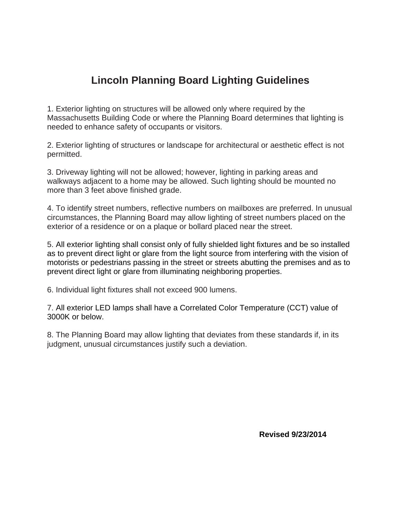## **Lincoln Planning Board Lighting Guidelines**

1. Exterior lighting on structures will be allowed only where required by the Massachusetts Building Code or where the Planning Board determines that lighting is needed to enhance safety of occupants or visitors.

2. Exterior lighting of structures or landscape for architectural or aesthetic effect is not permitted.

3. Driveway lighting will not be allowed; however, lighting in parking areas and walkways adjacent to a home may be allowed. Such lighting should be mounted no more than 3 feet above finished grade.

4. To identify street numbers, reflective numbers on mailboxes are preferred. In unusual circumstances, the Planning Board may allow lighting of street numbers placed on the exterior of a residence or on a plaque or bollard placed near the street.

5. All exterior lighting shall consist only of fully shielded light fixtures and be so installed as to prevent direct light or glare from the light source from interfering with the vision of motorists or pedestrians passing in the street or streets abutting the premises and as to prevent direct light or glare from illuminating neighboring properties.

6. Individual light fixtures shall not exceed 900 lumens.

7. All exterior LED lamps shall have a Correlated Color Temperature (CCT) value of 3000K or below.

8. The Planning Board may allow lighting that deviates from these standards if, in its judgment, unusual circumstances justify such a deviation.

**Revised 9/23/2014**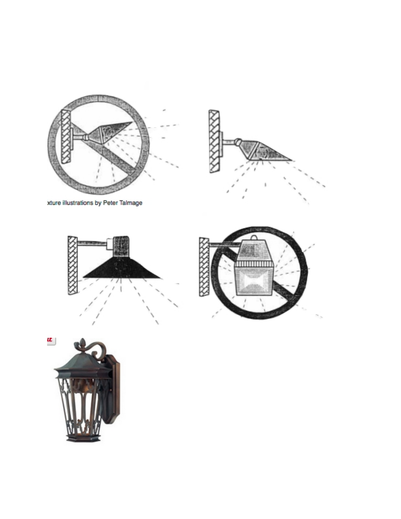



xture illustrations by Peter Talmage